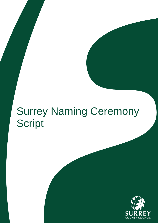# Surrey Naming Ceremony Script

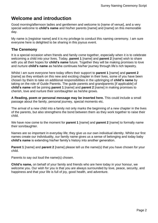## **Welcome and introduction**

Good morning/afternoon ladies and gentlemen and welcome to [name of venue], and a very special welcome to **child's name** and his/her parents [name] and [name] on this memorable day.

My name is [registrar name] and it is my privilege to conduct this naming ceremony. I am sure everyone here is delighted to be sharing in this joyous event.

## **The Ceremony**

It is a special occasion when friends and family come together, especially when it is to celebrate welcoming a child into your lives. Today, **parent 1** [name] and **parent 2** [name] wish to share with you all their hopes for **child's name** future. Together they will be making promises to love and nurture **child's name** as he/she continues his/her journey through life's rich tapestry.

Whilst I am sure everyone here today offers their support to **parent 1** [name] and **parent 2** [name] as they embark on this new and exciting chapter in their lives, some of you have been chosen by them to take on additional responsibilities in the upbringing of **child's name** by taking on the role of Guide Parents. The guide parents and grandparents [if applicable] of **child's name** will be joining **parent 1** [name] and **parent 2** [name] in making promises to cherish, love and nurture their son/daughter as he/she grows.

**A Reading, poem or personal message may be inserted here.** This could include a small passage about the family, personal journey, special moments etc.

The arrival of a new child into a family not only marks the beginning of a new chapter in the lives of the parents, but also strengthens the bond between them as they work together to raise their child.

We have now come to the moment for **parent 1** [name] and **parent 2** [name] to formally name their son/daughter.

Names are so important in everyday life; they give us our own individual identity. Whilst our first names create our individuality, our family name gives us a sense of belonging and today baby **child's name** is extending his/her family's history into another generation.

**Parent 1** [name] and **parent 2** [name] please tell us the name(s) that you have chosen for your child.

Parents to say out loud the name(s) chosen.

**Child's name,** on behalf of your family and friends who are here today in your honour, we welcome you. Our wish for you is that you are always surrounded by love, peace, security, and happiness and that your life is full of joy, good health, and adventure.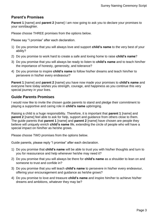## **Parent's Promises**

**Parent 1** [name] and **parent 2** [name] I am now going to ask you to declare your promises to your son/daughter.

Please choose THREE promises from the options below.

Please say "I promise" after each declaration.

- 1) Do you promise that you will always love and support **child's name** to the very best of your ability?
- 2) Do you promise to work hard to create a safe and loving home to raise **child's name**?
- 3) Do you promise that you will always be ready to listen to **child's name** and to teach him/her the importance of honesty, generosity, and tolerance?
- 4) Do you promise to inspire **child's name** to follow his/her dreams and teach him/her to persevere in his/her every endeavour?

**Parent 1** [name] and **parent 2** [name] you have now made your promises to **child's name** and everyone here today wishes you strength, courage, and happiness as you continue this very special journey in your lives.

## **Guide Parents Promises**

I would now like to invite the chosen guide parents to stand and pledge their commitment to playing a supportive and caring role in **child's name** upbringing.

Raising a child is a huge responsibility. Therefore, it is important that **parent 1** [name] and **parent 2** [name] feel able to ask for help, support and guidance from others close to them. The guide parents that **parent 1** [name] and **parent 2** [name] have chosen are people they believe will uniquely enrich **child's name** life, extending the circle of people who will have a special impact on him/her as he/she grows.

Please choose TWO promises from the options below.

Guide parents, please reply "I promise" after each declaration.

- 1) Do you promise that **child's name** will be able to trust you with his/her thoughts and turn to you for reassurance and help whenever he/she may need it?
- 2) Do you promise that you will always be there for **child's name** as a shoulder to lean on and someone to trust and confide in?
- 3) Do you promise that you will teach **child's name** to persevere in his/her every endeavour, offering your encouragement and guidance as he/she grows?
- 4) Do you promise to love and treasure **child's name** and inspire him/her to achieve his/her dreams and ambitions, whatever they may be?